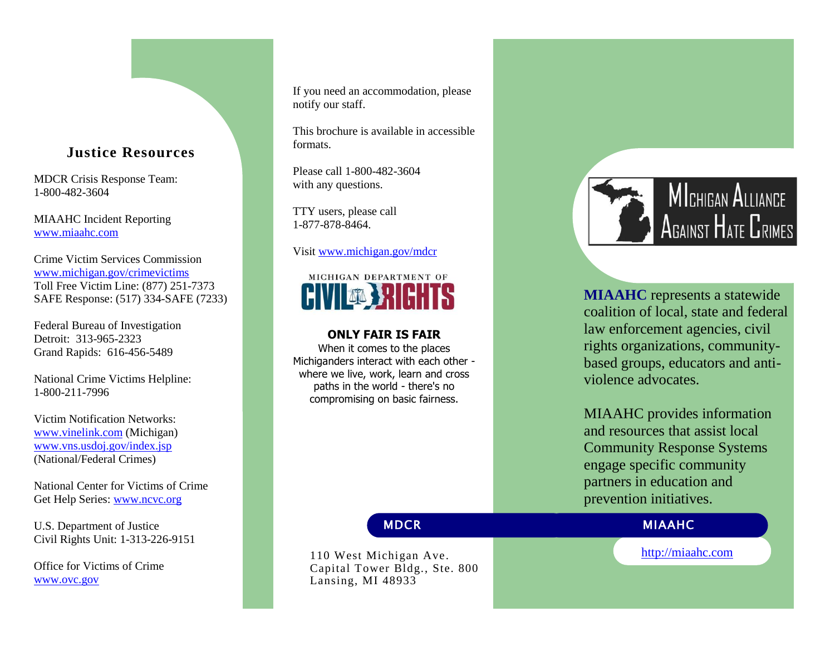# **Justice Resources**

MDCR Crisis Response Team : 1 -800 -482 -3604

MIAAHC Incident Reporting [www.miaahc.com](http://www.miaahc.com/)

Crime Victim Services Commission [www.michigan.gov/crimevictims](http://www.michigan.gov/crimevictims) Toll Free Victim Line: (877) 251 -7373 SAFE Response : (517) 334 -SAFE (7233)

Federal Bureau of Investigation Detroit: 313 -965 -2323 Grand Rapids: 616 -456 -5489

National Crime Victims Helpline: 1-800-211-7996

Victim Notification Networks: [www.vinelink.com](http://www.vinelink.com/) (Michigan) [www.vns.usdoj.gov/index.jsp](http://www.vns.usdoj.gov/index.jsp) (National/Federal Crimes)

National Center for Victims of Crime Get Help Series: [www.ncvc.org](http://www.ncvc.org/)

U.S. Department of Justice Civil Rights Unit: 1 -313 -226 -9151

Office for Victims of Crime [www.ovc.gov](http://www.ovc.gov/)

If you need an accommodation, please notify our staff.

This brochure is available in accessible formats.

Please call 1 -800 -482 -3604 with any questions.

TTY users, please call 1-877-878-8464.

Visit [www.michigan.gov/mdcr](http://www.michigan.gov/mdcr)



# **ONLY FAIR IS FAIR**

When it comes to the places Michiganders interact with each other where we live, work, learn and cross paths in the world - there's no compromising on basic fairness.



**MIAAHC** represents a statewide coalition of local, state and federal law enforcement agencies, civil rights organizations, community based groups, educators and anti violence advocates.

MIAAHC provides information and resources that assist local Community Response Systems engage specific community partners in education and prevention initiatives.

110 West Michigan Ave . Capital Tower Bldg., Ste. 800 Lansing, MI 48933

MDCR MIAAHC

[http://miaahc.com](http://miaahc.com/)